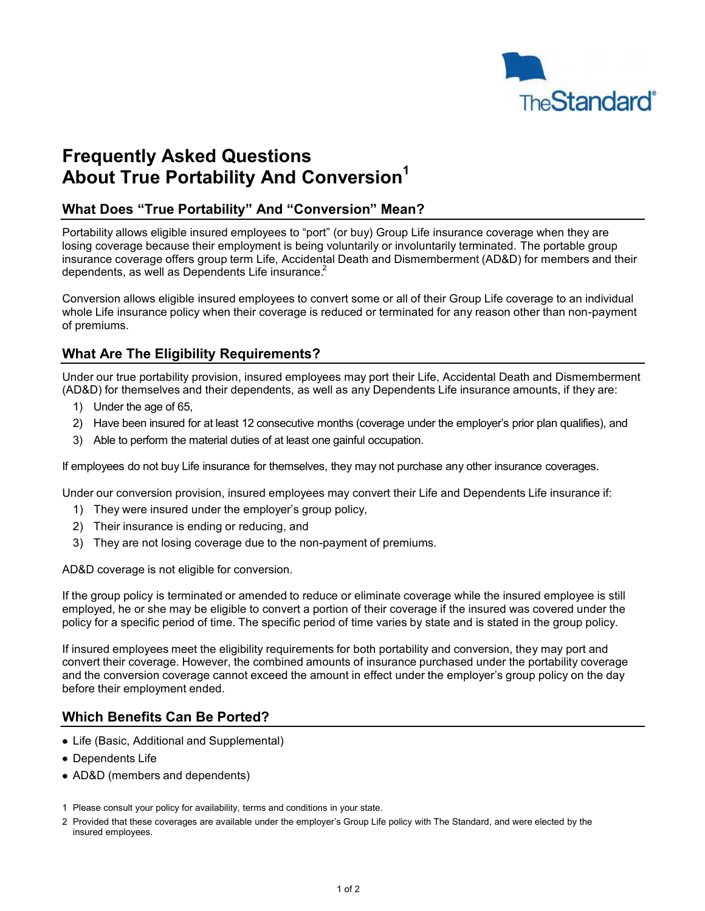

# **Frequently Asked Questions About True Portability And Conversion<sup>1</sup>**

# **What Does "True Portability" And "Conversion" Mean?**

Portability allows eligible insured employees to "port" (or buy) Group Life insurance coverage when they are losing coverage because their employment is being voluntarily or involuntarily terminated. The portable group insurance coverage offers group term Life, Accidental Death and Dismemberment (AD&D) for members and their dependents, as well as Dependents Life insurance.<sup>2</sup>

Conversion allows eligible insured employees to convert some or all of their Group Life coverage to an individual whole Life insurance policy when their coverage is reduced or terminated for any reason other than non-payment of premiums.

# **What Are The Eligibility Requirements?**

Under our true portability provision, insured employees may port their Life, Accidental Death and Dismemberment (AD&D) for themselves and their dependents, as well as any Dependents Life insurance amounts, if they are:

- 1) Under the age of 65,
- 2) Have been insured for at least 12 consecutive months (coverage under the employer's prior plan qualifies), and
- 3) Able to perform the material duties of at least one gainful occupation.

If employees do not buy Life insurance for themselves, they may not purchase any other insurance coverages.

Under our conversion provision, insured employees may convert their Life and Dependents Life insurance if:

- 1) They were insured under the employer's group policy,
- 2) Their insurance is ending or reducing, and
- 3) They are not losing coverage due to the non-payment of premiums.

AD&D coverage is not eligible for conversion.

If the group policy is terminated or amended to reduce or eliminate coverage while the insured employee is still employed, he or she may be eligible to convert a portion of their coverage if the insured was covered under the policy for a specific period of time. The specific period of time varies by state and is stated in the group policy.

If insured employees meet the eligibility requirements for both portability and conversion, they may port and convert their coverage. However, the combined amounts of insurance purchased under the portability coverage and the conversion coverage cannot exceed the amount in effect under the employer's group policy on the day before their employment ended.

#### **Which Benefits Can Be Ported?**

- Life (Basic, Additional and Supplemental)
- Dependents Life
- AD&D (members and dependents)
- 1 Please consult your policy for availability, terms and conditions in your state.
- 2 Provided that these coverages are available under the employer's Group Life policy with The Standard, and were elected by the insured employees.